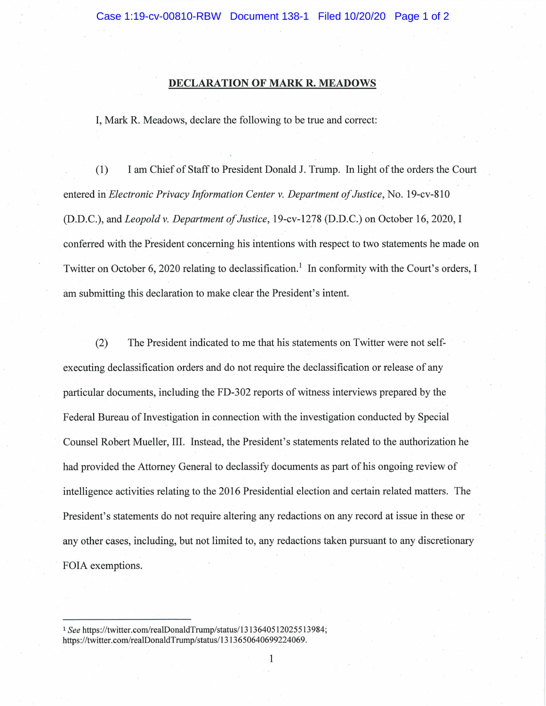## **DECLARATION OF MARK R. MEADOWS**

1, Mark R. Meadows, declare the following to be true and correct:

(1) 1 am Chief of Staff to President Donald J. Trump. In light of the orders the Court entered in *Electronic Privacy Injormation Center* v. *Department oj Justice,* No. 19-cv-810 (D.D.C.), and *Leopold* v. *Department oj Justice,* 19-cv-1278 (D.D.C.) on October 16,2020,1 conferred with the President concerning his intentions with respect to two statements he made on Twitter on October 6, 2020 relating to declassification.<sup>1</sup> In conformity with the Court's orders, I am submitting this declaration to make clear the President's intent.

(2) The President indicated to me that his· statements on Twitter were not selfexecuting declassification orders and do not require the declassification or release of any particular documents, including the FD-302 reports of witness interviews prepared by the Federal Bureau of Investigation in connection with the investigation conducted by Special Counsel Robert Mueller, 111. Instead, the President's statements related to the authorization he had provided the Attomey General to declassify documents as part of his ongoing review of intelligence activities relating to the 2016 Presidential election and certain related matters. The President's statements do not require altering any redactions on any record at issue in these or any other cases, including, but not limited to, any redactions taken pursuant to any discretionary FOIA exemptions.

<sup>1</sup> See https://twitter.com/realDonaldTrump/status/1313640512025513984; https://twitter.com/realDonaldTrump/status/1313650640699224069.